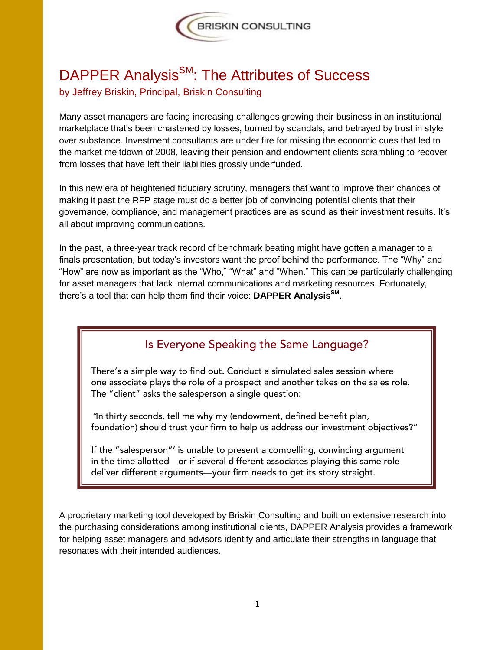

## DAPPER Analysis<sup>SM</sup>: The Attributes of Success by Jeffrey Briskin, Principal, Briskin Consulting

Many asset managers are facing increasing challenges growing their business in an institutional marketplace that's been chastened by losses, burned by scandals, and betrayed by trust in style over substance. Investment consultants are under fire for missing the economic cues that led to the market meltdown of 2008, leaving their pension and endowment clients scrambling to recover from losses that have left their liabilities grossly underfunded.

In this new era of heightened fiduciary scrutiny, managers that want to improve their chances of making it past the RFP stage must do a better job of convincing potential clients that their governance, compliance, and management practices are as sound as their investment results. It's all about improving communications.

In the past, a three-year track record of benchmark beating might have gotten a manager to a finals presentation, but today's investors want the proof behind the performance. The "Why" and "How" are now as important as the "Who," "What" and "When." This can be particularly challenging for asset managers that lack internal communications and marketing resources. Fortunately, there's a tool that can help them find their voice: **DAPPER AnalysisSM** .

## Is Everyone Speaking the Same Language?

There's a simple way to find out. Conduct a simulated sales session where one associate plays the role of a prospect and another takes on the sales role. The "client" asks the salesperson a single question:

"In thirty seconds, tell me why my (endowment, defined benefit plan, foundation) should trust your firm to help us address our investment objectives?"

If the "salesperson"' is unable to present a compelling, convincing argument in the time allotted—or if several different associates playing this same role deliver different arguments—your firm needs to get its story straight.

A proprietary marketing tool developed by Briskin Consulting and built on extensive research into the purchasing considerations among institutional clients, DAPPER Analysis provides a framework for helping asset managers and advisors identify and articulate their strengths in language that resonates with their intended audiences.